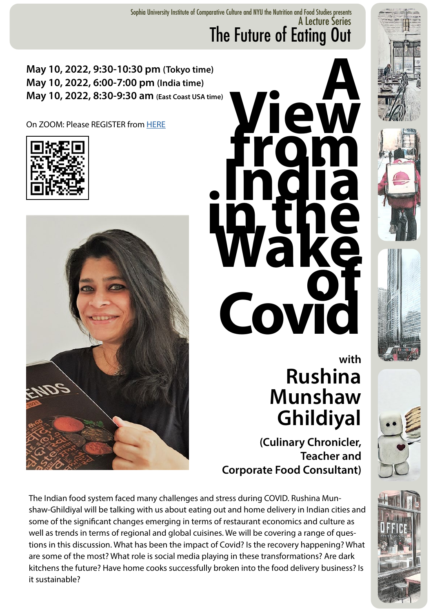A Lecture Series The Future of Eating Out Sophia University Institute of Comparative Culture and NYU the Nutrition and Food Studies presents

**May 10, 2022, 9:30-10:30 pm (Tokyo time) May 10, 2022, 6:00-7:00 pm (India time) May 10, 2022, 8:30-9:30 am (East Coast USA time)**

On ZOOM: Please REGISTER from [HERE](https://forms.office.com/r/iGvSze3gWC)







## **with Rushina Munshaw Ghildiyal**

**(Culinary Chronicler, Teacher and Corporate Food Consultant)**

The Indian food system faced many challenges and stress during COVID. Rushina Munshaw-Ghildiyal will be talking with us about eating out and home delivery in Indian cities and some of the significant changes emerging in terms of restaurant economics and culture as well as trends in terms of regional and global cuisines. We will be covering a range of questions in this discussion. What has been the impact of Covid? Is the recovery happening? What are some of the most? What role is social media playing in these transformations? Are dark kitchens the future? Have home cooks successfully broken into the food delivery business? Is it sustainable?